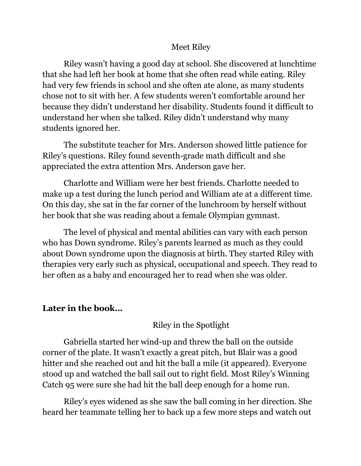## Meet Riley

Riley wasn't having a good day at school. She discovered at lunchtime that she had left her book at home that she often read while eating. Riley had very few friends in school and she often ate alone, as many students chose not to sit with her. A few students weren't comfortable around her because they didn't understand her disability. Students found it difficult to understand her when she talked. Riley didn't understand why many students ignored her.

The substitute teacher for Mrs. Anderson showed little patience for Riley's questions. Riley found seventh-grade math difficult and she appreciated the extra attention Mrs. Anderson gave her.

Charlotte and William were her best friends. Charlotte needed to make up a test during the lunch period and William ate at a different time. On this day, she sat in the far corner of the lunchroom by herself without her book that she was reading about a female Olympian gymnast.

The level of physical and mental abilities can vary with each person who has Down syndrome. Riley's parents learned as much as they could about Down syndrome upon the diagnosis at birth. They started Riley with therapies very early such as physical, occupational and speech. They read to her often as a baby and encouraged her to read when she was older.

## **Later in the book…**

Riley in the Spotlight

Gabriella started her wind-up and threw the ball on the outside corner of the plate. It wasn't exactly a great pitch, but Blair was a good hitter and she reached out and hit the ball a mile (it appeared). Everyone stood up and watched the ball sail out to right field. Most Riley's Winning Catch 95 were sure she had hit the ball deep enough for a home run.

Riley's eyes widened as she saw the ball coming in her direction. She heard her teammate telling her to back up a few more steps and watch out